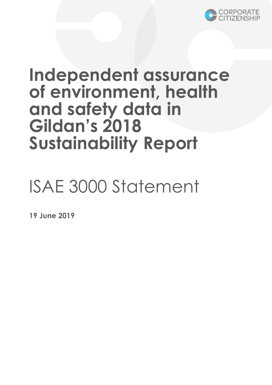

## **Independent assurance of environment, health and safety data in Gildan's 2018 Sustainability Report**

# ISAE 3000 Statement

**19 June 2019**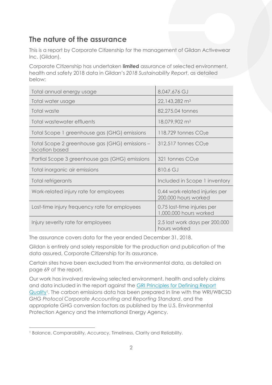## **The nature of the assurance**

This is a report by Corporate Citizenship for the management of Gildan Activewear Inc. (Gildan).

Corporate Citizenship has undertaken **limited** assurance of selected environment, health and safety 2018 data in Gildan's *2018 Sustainability Report*, as detailed below:

| Total annual energy usage                                        | 8,047,676 GJ                                           |
|------------------------------------------------------------------|--------------------------------------------------------|
| Total water usage                                                | 22,143,282 m <sup>3</sup>                              |
| Total waste                                                      | 82,275.04 tonnes                                       |
| Total wastewater effluents                                       | 18,079,902 m <sup>3</sup>                              |
| Total Scope 1 greenhouse gas (GHG) emissions                     | $118,729$ tonnes $CO2e$                                |
| Total Scope 2 greenhouse gas (GHG) emissions -<br>location based | $312,517$ tonnes $CO2e$                                |
| Partial Scope 3 greenhouse gas (GHG) emissions                   | $321$ tonnes $CO2e$                                    |
| Total inorganic air emissions                                    | 810.6 GJ                                               |
| Total refrigerants                                               | Included in Scope 1 inventory                          |
| Work-related injury rate for employees                           | 0.44 work-related injuries per<br>200,000 hours worked |
| Lost-time injury frequency rate for employees                    | 0.75 lost-time injuries per<br>1,000,000 hours worked  |
| Injury severity rate for employees                               | 2.5 lost work days per 200,000<br>hours worked         |

The assurance covers data for the year ended December 31, 2018.

Gildan is entirely and solely responsible for the production and publication of the data assured, Corporate Citizenship for its assurance.

Certain sites have been excluded from the environmental data, as detailed on page 69 of the report.

Our work has involved reviewing selected environment, health and safety claims and data included in the report against the [GRI Principles for Defining Report](https://www.globalreporting.org/standards/gri-standards-download-center/gri-101-foundation-containing-standard-interpretation-1/)  [Quality](https://www.globalreporting.org/standards/gri-standards-download-center/gri-101-foundation-containing-standard-interpretation-1/)<sup>1</sup>. The carbon emissions data has been prepared in line with the WRI/WBCSD *GHG Protocol Corporate Accounting and Reporting Standard*, and the appropriate GHG conversion factors as published by the U.S. Environmental Protection Agency and the International Energy Agency.

 $\overline{a}$ <sup>1</sup> Balance, Comparability, Accuracy, Timeliness, Clarity and Reliability.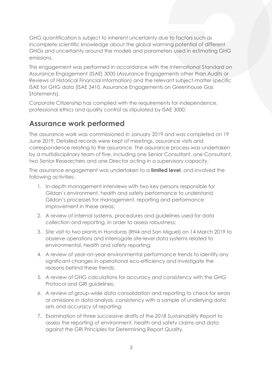GHG quantification is subject to inherent uncertainty due to factors such as incomplete scientific knowledge about the global warming potential of different GHGs and uncertainty around the models and parameters used in estimating GHG emissions.

This engagement was performed in accordance with the International Standard on Assurance Engagement (ISAE) 3000 (Assurance Engagements other than Audits or Reviews of Historical Financial Information) and the relevant subject-matter specific ISAE for GHG data (ISAE 3410, Assurance Engagements on Greenhouse Gas Statements).

Corporate Citizenship has complied with the requirements for independence, professional ethics and quality control as stipulated by ISAE 3000.

### **Assurance work performed**

The assurance work was commissioned in January 2019 and was completed on 19 June 2019. Detailed records were kept of meetings, assurance visits and correspondence relating to the assurance. The assurance process was undertaken by a multidisciplinary team of five, including one Senior Consultant, one Consultant, two Senior Researchers and one Director acting in a supervisory capacity.

The assurance engagement was undertaken to a **limited level**, and involved the following activities:

- 1. In-depth management interviews with two key persons responsible for Gildan's environment, health and safety performance to understand Gildan's processes for management, reporting and performance improvement in these areas;
- 2. A review of internal systems, procedures and guidelines used for data collection and reporting, in order to assess robustness;
- 3. Site visit to two plants in Honduras (RN4 and San Miguel) on 14 March 2019 to observe operations and interrogate site-level data systems related to environmental, health and safety reporting;
- 4. A review of year-on-year environmental performance trends to identify any significant changes in operational eco-efficiency and investigate the reasons behind these trends;
- 5. A review of GHG calculations for accuracy and consistency with the GHG Protocol and GRI guidelines;
- 6. A review of group-wide data consolidation and reporting to check for errors or omissions in data analysis, consistency with a sample of underlying data sets and accuracy of reporting;
- 7. Examination of three successive drafts of the *2018 Sustainability Report* to assess the reporting of environment, health and safety claims and data against the GRI Principles for Determining Report Quality.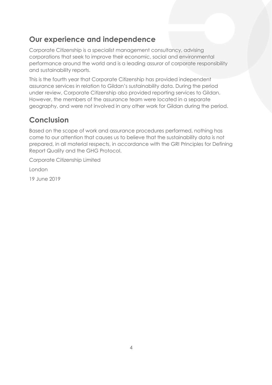### **Our experience and independence**

Corporate Citizenship is a specialist management consultancy, advising corporations that seek to improve their economic, social and environmental performance around the world and is a leading assuror of corporate responsibility and sustainability reports.

This is the fourth year that Corporate Citizenship has provided independent assurance services in relation to Gildan's sustainability data. During the period under review, Corporate Citizenship also provided reporting services to Gildan. However, the members of the assurance team were located in a separate geography, and were not involved in any other work for Gildan during the period.

## **Conclusion**

Based on the scope of work and assurance procedures performed, nothing has come to our attention that causes us to believe that the sustainability data is not prepared, in all material respects, in accordance with the GRI Principles for Defining Report Quality and the GHG Protocol.

Corporate Citizenship Limited

London

19 June 2019